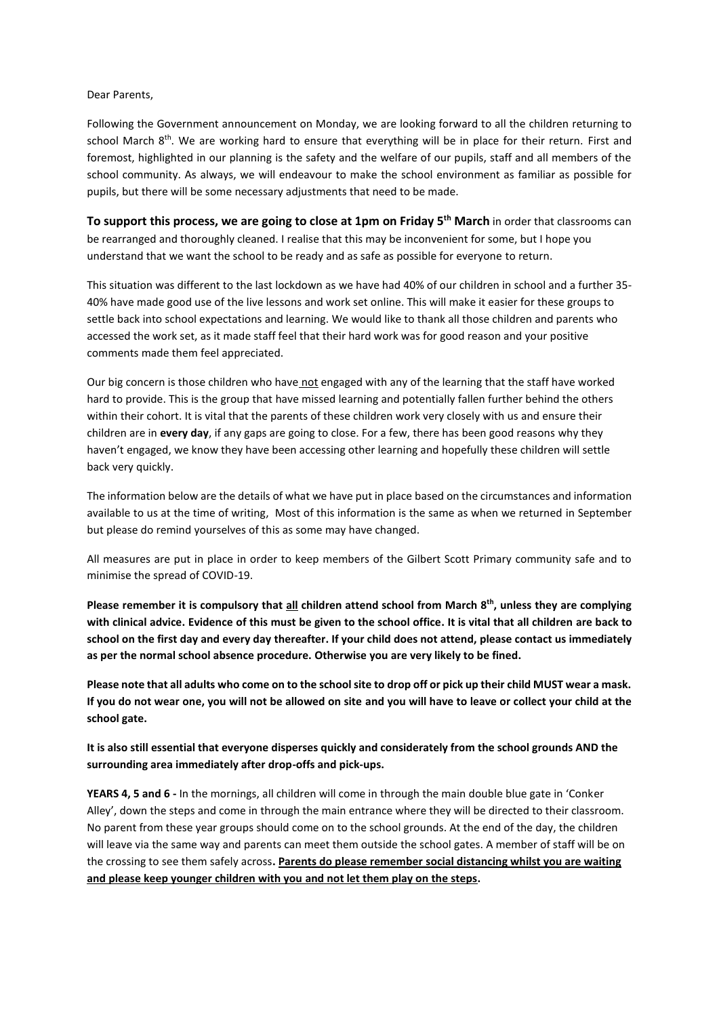### Dear Parents,

Following the Government announcement on Monday, we are looking forward to all the children returning to school March 8<sup>th</sup>. We are working hard to ensure that everything will be in place for their return. First and foremost, highlighted in our planning is the safety and the welfare of our pupils, staff and all members of the school community. As always, we will endeavour to make the school environment as familiar as possible for pupils, but there will be some necessary adjustments that need to be made.

**To support this process, we are going to close at 1pm on Friday 5th March** in order that classrooms can be rearranged and thoroughly cleaned. I realise that this may be inconvenient for some, but I hope you understand that we want the school to be ready and as safe as possible for everyone to return.

This situation was different to the last lockdown as we have had 40% of our children in school and a further 35- 40% have made good use of the live lessons and work set online. This will make it easier for these groups to settle back into school expectations and learning. We would like to thank all those children and parents who accessed the work set, as it made staff feel that their hard work was for good reason and your positive comments made them feel appreciated.

Our big concern is those children who have not engaged with any of the learning that the staff have worked hard to provide. This is the group that have missed learning and potentially fallen further behind the others within their cohort. It is vital that the parents of these children work very closely with us and ensure their children are in **every day**, if any gaps are going to close. For a few, there has been good reasons why they haven't engaged, we know they have been accessing other learning and hopefully these children will settle back very quickly.

The information below are the details of what we have put in place based on the circumstances and information available to us at the time of writing, Most of this information is the same as when we returned in September but please do remind yourselves of this as some may have changed.

All measures are put in place in order to keep members of the Gilbert Scott Primary community safe and to minimise the spread of COVID-19.

**Please remember it is compulsory that all children attend school from March 8th , unless they are complying with clinical advice. Evidence of this must be given to the school office. It is vital that all children are back to school on the first day and every day thereafter. If your child does not attend, please contact us immediately as per the normal school absence procedure. Otherwise you are very likely to be fined.**

**Please note that all adults who come on to the school site to drop off or pick up their child MUST wear a mask. If you do not wear one, you will not be allowed on site and you will have to leave or collect your child at the school gate.** 

**It is also still essential that everyone disperses quickly and considerately from the school grounds AND the surrounding area immediately after drop-offs and pick-ups.** 

**YEARS 4, 5 and 6 -** In the mornings, all children will come in through the main double blue gate in 'Conker Alley', down the steps and come in through the main entrance where they will be directed to their classroom. No parent from these year groups should come on to the school grounds. At the end of the day, the children will leave via the same way and parents can meet them outside the school gates. A member of staff will be on the crossing to see them safely across**. Parents do please remember social distancing whilst you are waiting and please keep younger children with you and not let them play on the steps.**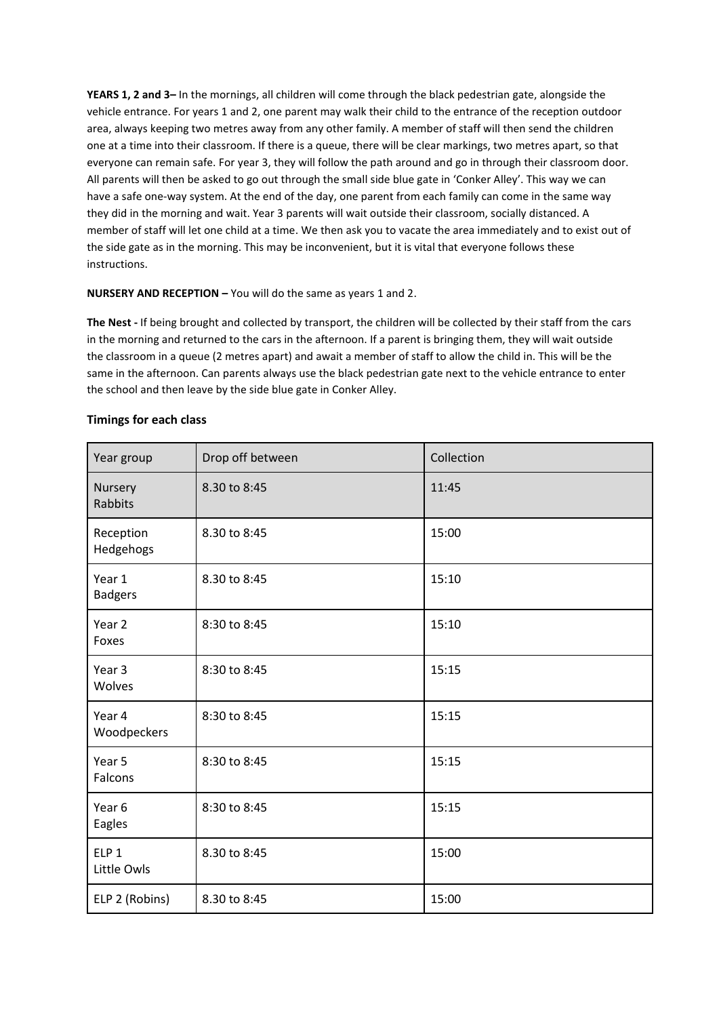**YEARS 1, 2 and 3–** In the mornings, all children will come through the black pedestrian gate, alongside the vehicle entrance. For years 1 and 2, one parent may walk their child to the entrance of the reception outdoor area, always keeping two metres away from any other family. A member of staff will then send the children one at a time into their classroom. If there is a queue, there will be clear markings, two metres apart, so that everyone can remain safe. For year 3, they will follow the path around and go in through their classroom door. All parents will then be asked to go out through the small side blue gate in 'Conker Alley'. This way we can have a safe one-way system. At the end of the day, one parent from each family can come in the same way they did in the morning and wait. Year 3 parents will wait outside their classroom, socially distanced. A member of staff will let one child at a time. We then ask you to vacate the area immediately and to exist out of the side gate as in the morning. This may be inconvenient, but it is vital that everyone follows these instructions.

# **NURSERY AND RECEPTION –** You will do the same as years 1 and 2.

**The Nest -** If being brought and collected by transport, the children will be collected by their staff from the cars in the morning and returned to the cars in the afternoon. If a parent is bringing them, they will wait outside the classroom in a queue (2 metres apart) and await a member of staff to allow the child in. This will be the same in the afternoon. Can parents always use the black pedestrian gate next to the vehicle entrance to enter the school and then leave by the side blue gate in Conker Alley.

| Year group                      | Drop off between | Collection |
|---------------------------------|------------------|------------|
| Nursery<br>Rabbits              | 8.30 to 8:45     | 11:45      |
| Reception<br>Hedgehogs          | 8.30 to 8:45     | 15:00      |
| Year 1<br><b>Badgers</b>        | 8.30 to 8:45     | 15:10      |
| Year <sub>2</sub><br>Foxes      | 8:30 to 8:45     | 15:10      |
| Year <sub>3</sub><br>Wolves     | 8:30 to 8:45     | 15:15      |
| Year 4<br>Woodpeckers           | 8:30 to 8:45     | 15:15      |
| Year 5<br>Falcons               | 8:30 to 8:45     | 15:15      |
| Year <sub>6</sub><br>Eagles     | 8:30 to 8:45     | 15:15      |
| ELP <sub>1</sub><br>Little Owls | 8.30 to 8:45     | 15:00      |
| ELP 2 (Robins)                  | 8.30 to 8:45     | 15:00      |

### **Timings for each class**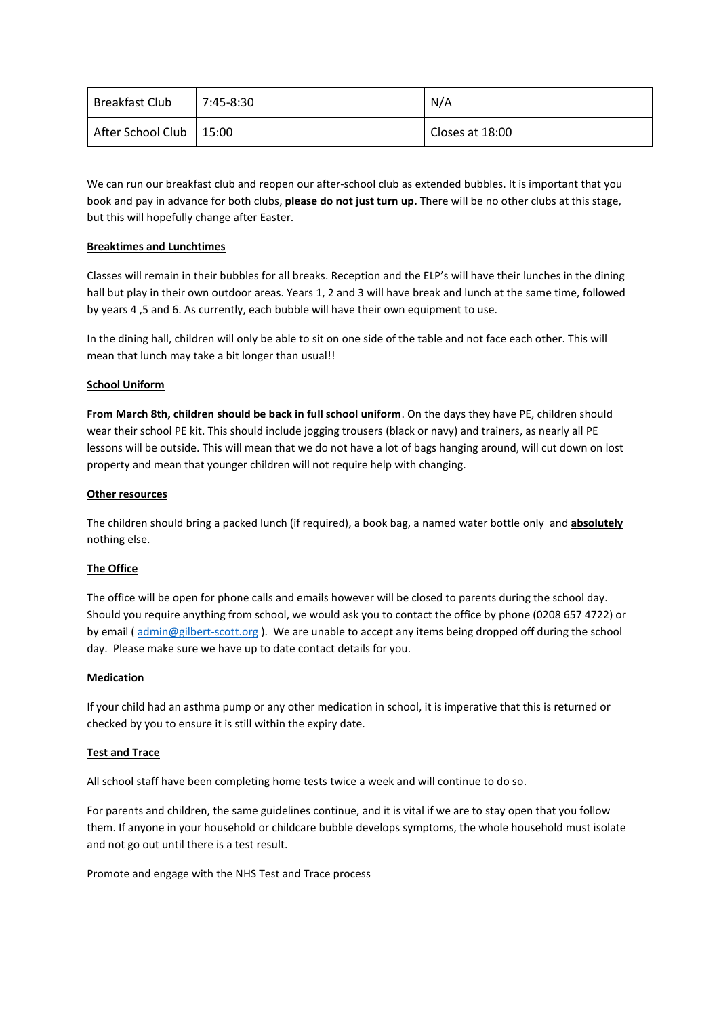| <b>Breakfast Club</b>     | $7:45-8:30$ | N/A             |
|---------------------------|-------------|-----------------|
| After School Club   15:00 |             | Closes at 18:00 |

We can run our breakfast club and reopen our after-school club as extended bubbles. It is important that you book and pay in advance for both clubs, **please do not just turn up.** There will be no other clubs at this stage, but this will hopefully change after Easter.

# **Breaktimes and Lunchtimes**

Classes will remain in their bubbles for all breaks. Reception and the ELP's will have their lunches in the dining hall but play in their own outdoor areas. Years 1, 2 and 3 will have break and lunch at the same time, followed by years 4 ,5 and 6. As currently, each bubble will have their own equipment to use.

In the dining hall, children will only be able to sit on one side of the table and not face each other. This will mean that lunch may take a bit longer than usual!!

### **School Uniform**

**From March 8th, children should be back in full school uniform**. On the days they have PE, children should wear their school PE kit. This should include jogging trousers (black or navy) and trainers, as nearly all PE lessons will be outside. This will mean that we do not have a lot of bags hanging around, will cut down on lost property and mean that younger children will not require help with changing.

#### **Other resources**

The children should bring a packed lunch (if required), a book bag, a named water bottle only and **absolutely** nothing else.

### **The Office**

The office will be open for phone calls and emails however will be closed to parents during the school day. Should you require anything from school, we would ask you to contact the office by phone (0208 657 4722) or by email ( [admin@gilbert-scott.org](mailto:admin@gilbert-scott.org) ). We are unable to accept any items being dropped off during the school day. Please make sure we have up to date contact details for you.

#### **Medication**

If your child had an asthma pump or any other medication in school, it is imperative that this is returned or checked by you to ensure it is still within the expiry date.

### **Test and Trace**

All school staff have been completing home tests twice a week and will continue to do so.

For parents and children, the same guidelines continue, and it is vital if we are to stay open that you follow them. If anyone in your household or childcare bubble develops symptoms, the whole household must isolate and not go out until there is a test result.

Promote and engage with the NHS Test and Trace process